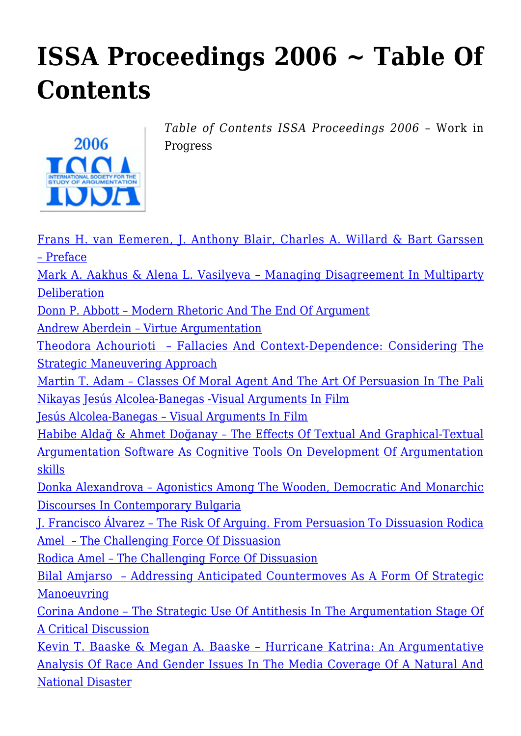## **[ISSA Proceedings 2006 ~ Table Of](https://rozenbergquarterly.com/issa-proceedings-2006-table-of-contents/) [Contents](https://rozenbergquarterly.com/issa-proceedings-2006-table-of-contents/)**



*Table of Contents ISSA Proceedings 2006* – Work in Progress

[Frans H. van Eemeren, J. Anthony Blair, Charles A. Willard & Bart Garssen](http://rozenbergquarterly.com/issa-proceedings-2006-preface/ ‎) [– Preface](http://rozenbergquarterly.com/issa-proceedings-2006-preface/ ‎) [Mark A. Aakhus & Alena L. Vasilyeva – Managing Disagreement In Multiparty](http://rozenbergquarterly.com/issa-proceedings-2006-managing-disagreement-in-multiparty-deliberation/#.UqSGM93Ivbo) [Deliberation](http://rozenbergquarterly.com/issa-proceedings-2006-managing-disagreement-in-multiparty-deliberation/#.UqSGM93Ivbo) [Donn P. Abbott – Modern Rhetoric And The End Of Argument](http://rozenbergquarterly.com/issa-proceedings-2006-modern-rhetoric-and-the-end-of-argument/#.UqSGa93Ivbo) [Andrew Aberdein – Virtue Argumentation](http://rozenbergquarterly.com/issa-proceedings-2006-virtue-argumentation/#.UqSGmd3Ivbo) [Theodora Achourioti – Fallacies And Context-Dependence: Considering The](http://rozenbergquarterly.com/issa-proceedings-2006-fallacies-and-context-dependence-considering-the-strategic-maneuvering-approach/#.UqSGwN3Ivbo) [Strategic Maneuvering Approach](http://rozenbergquarterly.com/issa-proceedings-2006-fallacies-and-context-dependence-considering-the-strategic-maneuvering-approach/#.UqSGwN3Ivbo) [Martin T. Adam – Classes Of Moral Agent And The Art Of Persuasion In The Pali](http://rozenbergquarterly.com/issa-proceedings-2006-classes-of-moral-agent-and-the-art-of-persuasion-in-the-pali-nikayas/#.UqSG-N3Ivbo) [Nikayas](http://rozenbergquarterly.com/issa-proceedings-2006-classes-of-moral-agent-and-the-art-of-persuasion-in-the-pali-nikayas/#.UqSG-N3Ivbo) [Jesús Alcolea-Banegas -Visual Arguments In Film](http://rozenbergquarterly.com/issa-proceedings-2006-visual-arguments-in-film/#.UqSHJt3Ivbo) [Jesús Alcolea-Banegas – Visual Arguments In Film](http://rozenbergquarterly.com/issa-proceedings-2006-visual-arguments-in-film/) [Habibe Aldağ & Ahmet Doğanay – The Effects Of Textual And Graphical-Textual](http://rozenbergquarterly.com/issa-proceedings-2006-the-effects-of-textual-and-graphical-textual-argumentation-software-as-cognitive-tools-on-the-development-of-argumentation-skills/#.UqSHVd3Ivbo) [Argumentation Software As Cognitive Tools On Development Of Argumentation](http://rozenbergquarterly.com/issa-proceedings-2006-the-effects-of-textual-and-graphical-textual-argumentation-software-as-cognitive-tools-on-the-development-of-argumentation-skills/#.UqSHVd3Ivbo) [skills](http://rozenbergquarterly.com/issa-proceedings-2006-the-effects-of-textual-and-graphical-textual-argumentation-software-as-cognitive-tools-on-the-development-of-argumentation-skills/#.UqSHVd3Ivbo) [Donka Alexandrova – Agonistics Among The Wooden, Democratic And Monarchic](http://rozenbergquarterly.com/issa-proceedings-2006-agonistics-among-the-wooden-democratic-and-monarchic-discourses-in-contemporary-bulgaria/#.UqSIFN3Ivbo) [Discourses In Contemporary Bulgaria](http://rozenbergquarterly.com/issa-proceedings-2006-agonistics-among-the-wooden-democratic-and-monarchic-discourses-in-contemporary-bulgaria/#.UqSIFN3Ivbo) [J. Francisco Álvarez – The Risk Of Arguing. From Persuasion To Dissuasion Rodica](http://rozenbergquarterly.com/issa-proceedings-2006-the-risk-of-arguing-from-persuasion-to-dissuasion/#.UqSIW93Ivbo) [Amel – The Challenging Force Of Dissuasion](http://rozenbergquarterly.com/issa-proceedings-2006-the-risk-of-arguing-from-persuasion-to-dissuasion/#.UqSIW93Ivbo) [Rodica Amel – The Challenging Force Of Dissuasion](http://rozenbergquarterly.com/issa-proceedings-2006-the-challenging-force-of-dissuasion/) [Bilal Amjarso – Addressing Anticipated Countermoves As A Form Of Strategic](http://rozenbergquarterly.com/issa-proceedings-2006-the-challenging-force-of-dissuasion/#.UqSIst3Ivbo) [Manoeuvring](http://rozenbergquarterly.com/issa-proceedings-2006-the-challenging-force-of-dissuasion/#.UqSIst3Ivbo) [Corina Andone – The Strategic Use Of Antithesis In The Argumentation Stage Of](http://rozenbergquarterly.com/issa-proceedings-2006-addressing-anticipated-countermoves-as-a-form-of-strategic-manoeuvring/#.UqSI6N3Ivbo) [A Critical Discussion](http://rozenbergquarterly.com/issa-proceedings-2006-addressing-anticipated-countermoves-as-a-form-of-strategic-manoeuvring/#.UqSI6N3Ivbo) [Kevin T. Baaske & Megan A. Baaske – Hurricane Katrina: An Argumentative](http://rozenbergquarterly.com/issa-proceedings-2006-hurricane-katrina-an-argumentative-analysis-of-race-and-gender-issues-in-the-media-coverage-of-a-natural-and-national-disaster/#.UqSJVd3Ivbo) [Analysis Of Race And Gender Issues In The Media Coverage Of A Natural And](http://rozenbergquarterly.com/issa-proceedings-2006-hurricane-katrina-an-argumentative-analysis-of-race-and-gender-issues-in-the-media-coverage-of-a-natural-and-national-disaster/#.UqSJVd3Ivbo) [National Disaster](http://rozenbergquarterly.com/issa-proceedings-2006-hurricane-katrina-an-argumentative-analysis-of-race-and-gender-issues-in-the-media-coverage-of-a-natural-and-national-disaster/#.UqSJVd3Ivbo)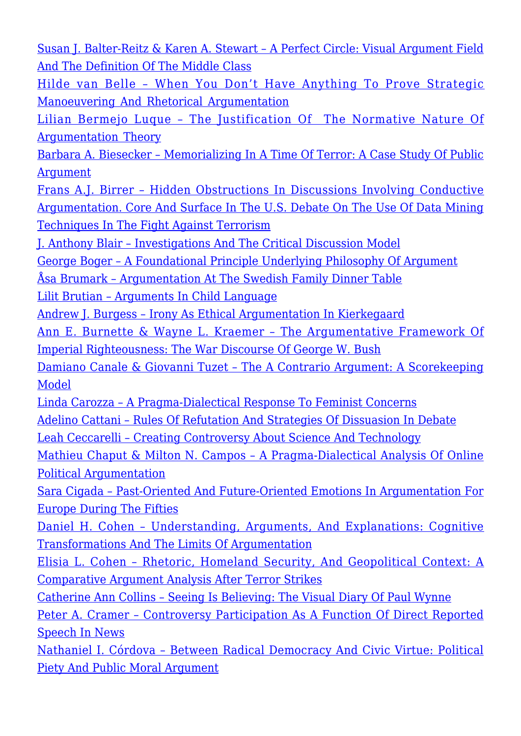[Susan J. Balter-Reitz & Karen A. Stewart – A Perfect Circle: Visual Argument Field](http://rozenbergquarterly.com/issa-proceedings-2006-a-perfect-circle-visual-argument-field-and-the-definition-of-the-middle-class/#.UqSJid3Ivbo) [And The Definition Of The Middle Class](http://rozenbergquarterly.com/issa-proceedings-2006-a-perfect-circle-visual-argument-field-and-the-definition-of-the-middle-class/#.UqSJid3Ivbo)

[Hilde van Belle – When You Don't Have Anything To Prove Strategic](http://rozenbergquarterly.com/issa-proceedings-2006-when-you-dont-have-anything-to-prove-strategic-manoeuvring-and-rhetorical-argumentation/#.UqSJs93Ivbo) [Manoeuvering And Rhetorical Argumentation](http://rozenbergquarterly.com/issa-proceedings-2006-when-you-dont-have-anything-to-prove-strategic-manoeuvring-and-rhetorical-argumentation/#.UqSJs93Ivbo)

[Lilian Bermejo Luque – The Justification Of The Normative Nature Of](http://rozenbergquarterly.com/issa-proceedings-2006-the-justification-of-the-normative-nature-of-argumentation-theory/#.UqSKLN3Ivbo) [Argumentation Theory](http://rozenbergquarterly.com/issa-proceedings-2006-the-justification-of-the-normative-nature-of-argumentation-theory/#.UqSKLN3Ivbo)

[Barbara A. Biesecker – Memorializing In A Time Of Terror: A Case Study Of Public](http://rozenbergquarterly.com/issa-proceedings-2006-memorializing-in-a-time-of-terror-a-case-study-of-public-argument/) [Argument](http://rozenbergquarterly.com/issa-proceedings-2006-memorializing-in-a-time-of-terror-a-case-study-of-public-argument/)

[Frans A.J. Birrer – Hidden Obstructions In Discussions Involving Conductive](http://rozenbergquarterly.com/issa-proceeding-2006-hidden-obstructions-in-discussions-involving-conductive-argumentation-core-and-surface-in-the-u-s-debate-on-the-use-of-data-mining-techniques-in-the-fight-against-terr/) [Argumentation. Core And Surface In The U.S. Debate On The Use Of Data Mining](http://rozenbergquarterly.com/issa-proceeding-2006-hidden-obstructions-in-discussions-involving-conductive-argumentation-core-and-surface-in-the-u-s-debate-on-the-use-of-data-mining-techniques-in-the-fight-against-terr/) [Techniques In The Fight Against Terrorism](http://rozenbergquarterly.com/issa-proceeding-2006-hidden-obstructions-in-discussions-involving-conductive-argumentation-core-and-surface-in-the-u-s-debate-on-the-use-of-data-mining-techniques-in-the-fight-against-terr/)

[J. Anthony Blair – Investigations And The Critical Discussion Model](http://rozenbergquarterly.com/issa-proceedings-2006-investigations-and-the-critical-discussion-model/)

[George Boger – A Foundational Principle Underlying Philosophy Of Argument](http://rozenbergquarterly.com/issa-proceedings-2006-a-foundational-principle-underlying-philosophy-of-argument/)

[Åsa Brumark – Argumentation At The Swedish Family Dinner Table](http://rozenbergquarterly.com/issa-proceedings-2006-argumentation-at-the-swedish-family-dinner-table/)

[Lilit Brutian – Arguments In Child Language](http://rozenbergquarterly.com/issa-proceedings-2006-arguments-in-child-language/)

[Andrew J. Burgess – Irony As Ethical Argumentation In Kierkegaard](http://rozenbergquarterly.com/issa-proceedings-2006-irony-as-ethical-argumentation-in-kierkegaard/)

[Ann E. Burnette & Wayne L. Kraemer – The Argumentative Framework Of](http://rozenbergquarterly.com/issa-proceedings-2006-the-argumentative-framework-of-imperial-righteousness-the-war-discourse-of-george-w-bush/) [Imperial Righteousness: The War Discourse Of George W. Bush](http://rozenbergquarterly.com/issa-proceedings-2006-the-argumentative-framework-of-imperial-righteousness-the-war-discourse-of-george-w-bush/)

[Damiano Canale & Giovanni Tuzet – The A Contrario Argument: A Scorekeeping](http://rozenbergquarterly.com/issa-proceedings-2006-the-a-contrario-argument-a-scorekeeping-model/) [Model](http://rozenbergquarterly.com/issa-proceedings-2006-the-a-contrario-argument-a-scorekeeping-model/)

[Linda Carozza – A Pragma-Dialectical Response To Feminist Concerns](http://rozenbergquarterly.com/issa-proceedings-2006-a-pragma-dialectical-response-to-feminist-concerns/)

[Adelino Cattani – Rules Of Refutation And Strategies Of Dissuasion In Debate](http://rozenbergquarterly.com/issa-proceedings-2006-rules-of-refutation-and-strategies-of-dissuasion-in-debate/)

[Leah Ceccarelli – Creating Controversy About Science And Technology](http://rozenbergquarterly.com/issa-proceedings-2006-creating-controversy-about-science-and-technology/)

[Mathieu Chaput & Milton N. Campos – A Pragma-Dialectical Analysis Of Online](http://rozenbergquarterly.com/issa-proceedings-2006-a-pragma-dialectical-analysis-of-online-political-argumentation/) [Political Argumentation](http://rozenbergquarterly.com/issa-proceedings-2006-a-pragma-dialectical-analysis-of-online-political-argumentation/)

[Sara Cigada – Past-Oriented And Future-Oriented Emotions In Argumentation For](http://rozenbergquarterly.com/issa-proceedings-2006-past-oriented-and-future-oriented-emotions-in-argumentation-for-europe-during-the-fifties/) [Europe During The Fifties](http://rozenbergquarterly.com/issa-proceedings-2006-past-oriented-and-future-oriented-emotions-in-argumentation-for-europe-during-the-fifties/)

[Daniel H. Cohen – Understanding, Arguments, And Explanations: Cognitive](http://rozenbergquarterly.com/issa-proceedings-2006-understanding-arguments-and-explanations-cognitive-transformations-and-the-limits-of-argumentation/) [Transformations And The Limits Of Argumentation](http://rozenbergquarterly.com/issa-proceedings-2006-understanding-arguments-and-explanations-cognitive-transformations-and-the-limits-of-argumentation/)

[Elisia L. Cohen – Rhetoric, Homeland Security, And Geopolitical Context: A](http://rozenbergquarterly.com/issa-proceedings-2006-rhetoric-homeland-security-and-geopolitical-context-a-comparative-argument-analysis-after-terror-strikes/) [Comparative Argument Analysis After Terror Strikes](http://rozenbergquarterly.com/issa-proceedings-2006-rhetoric-homeland-security-and-geopolitical-context-a-comparative-argument-analysis-after-terror-strikes/)

[Catherine Ann Collins – Seeing Is Believing: The Visual Diary Of Paul Wynne](http://rozenbergquarterly.com/issa-proceedings-2006-seeing-is-believing-the-visual-diary-of-paul-wynne/)

[Peter A. Cramer – Controversy Participation As A Function Of Direct Reported](http://rozenbergquarterly.com/issa-proceedings-2006-controversy-participation-as-a-function-of-direct-reported-speech-in-news/) [Speech In News](http://rozenbergquarterly.com/issa-proceedings-2006-controversy-participation-as-a-function-of-direct-reported-speech-in-news/)

[Nathaniel I. Córdova – Between Radical Democracy And Civic Virtue: Political](http://rozenbergquarterly.com/issa-proceedings-2006-between-radical-democracy-and-civic-virtue-political-piety-and-public-moral-argument/) [Piety And Public Moral Argument](http://rozenbergquarterly.com/issa-proceedings-2006-between-radical-democracy-and-civic-virtue-political-piety-and-public-moral-argument/)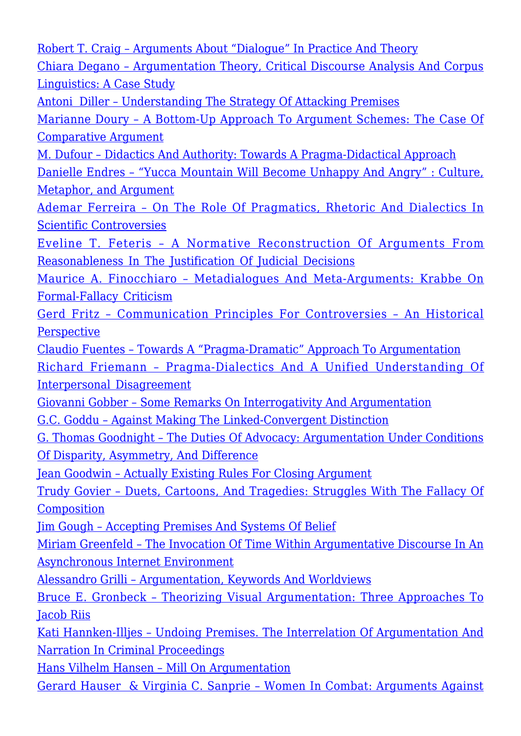[Robert T. Craig – Arguments About "Dialogue" In Practice And Theory](http://rozenbergquarterly.com/issa-proceedings-2006-arguments-about-dialogue-in-practice-and-theory/) [Chiara Degano – Argumentation Theory, Critical Discourse Analysis And Corpus](http://rozenbergquarterly.com/issa-proceedings-2006-argumentation-theory-critical-discourse-analysis-and-corpus-linguistics-a-case-study/) [Linguistics: A Case Study](http://rozenbergquarterly.com/issa-proceedings-2006-argumentation-theory-critical-discourse-analysis-and-corpus-linguistics-a-case-study/) [Antoni Diller – Understanding The Strategy Of Attacking Premises](http://rozenbergquarterly.com/issa-proceedings-2006-understanding-the-strategy-of-attacking-premises/) [Marianne Doury – A Bottom-Up Approach To Argument Schemes: The Case Of](http://rozenbergquarterly.com/issa-proceedings-2006-a-bottom-up-approach-to-argument-schemes-the-case-of-comparative-argument/) [Comparative Argument](http://rozenbergquarterly.com/issa-proceedings-2006-a-bottom-up-approach-to-argument-schemes-the-case-of-comparative-argument/) [M. Dufour – Didactics And Authority: Towards A Pragma-Didactical Approach](http://rozenbergquarterly.com/issa-proceedings-2006-didactics-and-authority-towards-a-pragma-didactical-approach/) [Danielle Endres – "Yucca Mountain Will Become Unhappy And Angry" : Culture,](http://rozenbergquarterly.com/issa-proceedings-2006-yucca-mountain-will-become-unhappy-and-angry-culture-metaphor-and-argument/) [Metaphor, and Argument](http://rozenbergquarterly.com/issa-proceedings-2006-yucca-mountain-will-become-unhappy-and-angry-culture-metaphor-and-argument/) [Ademar Ferreira – On The Role Of Pragmatics, Rhetoric And Dialectics In](http://rozenbergquarterly.com/issa-proceedings-2006-on-the-role-of-pragmatics-rhetoric-and-dialectics-in-scientific-controversies/) [Scientific Controversies](http://rozenbergquarterly.com/issa-proceedings-2006-on-the-role-of-pragmatics-rhetoric-and-dialectics-in-scientific-controversies/) [Eveline T. Feteris – A Normative Reconstruction Of Arguments From](http://rozenbergquarterly.com/issa-proceedings-2006-a-normative-reconstruction-of-arguments-from-reasonableness-in-the-justification-of-judicial-decisions/) [Reasonableness In The Justification Of Judicial Decisions](http://rozenbergquarterly.com/issa-proceedings-2006-a-normative-reconstruction-of-arguments-from-reasonableness-in-the-justification-of-judicial-decisions/) [Maurice A. Finocchiaro – Metadialogues And Meta-Arguments: Krabbe On](http://rozenbergquarterly.com/issa-proceedings-2006-metadialogues-and-meta-arguments-krabbe-on-formal-fallacy-criticism/) [Formal-Fallacy Criticism](http://rozenbergquarterly.com/issa-proceedings-2006-metadialogues-and-meta-arguments-krabbe-on-formal-fallacy-criticism/) [Gerd Fritz – Communication Principles For Controversies – An Historical](http://rozenbergquarterly.com/issa-proceedings-2006-communication-principles-for-controversies-an-historical-perspective/) [Perspective](http://rozenbergquarterly.com/issa-proceedings-2006-communication-principles-for-controversies-an-historical-perspective/) [Claudio Fuentes – Towards A "Pragma-Dramatic" Approach To Argumentation](http://rozenbergquarterly.com/issa-proceedings-2006-towards-a-pragma-dramatic-approach-to-argumentation/) [Richard Friemann – Pragma-Dialectics And A Unified Understanding Of](http://rozenbergquarterly.com/issa-proceedings-2006-pragma-dialectics-and-a-unified-understanding-of-interpersonal-disagreement/) [Interpersonal Disagreement](http://rozenbergquarterly.com/issa-proceedings-2006-pragma-dialectics-and-a-unified-understanding-of-interpersonal-disagreement/) [Giovanni Gobber – Some Remarks On Interrogativity And Argumentation](http://rozenbergquarterly.com/issa-proceedings-2006-some-remarks-on-interrogativity-and-argumentation/) [G.C. Goddu – Against Making The Linked-Convergent Distinction](http://rozenbergquarterly.com/issa-proceedings-2006-against-making-the-linked-convergent-distinction/) [G. Thomas Goodnight – The Duties Of Advocacy: Argumentation Under Conditions](http://rozenbergquarterly.com/issa-proceedings-2006-the-duties-of-advocacy-argumentation-under-conditions-of-disparity-asymmetry-and-difference/) [Of Disparity, Asymmetry, And Difference](http://rozenbergquarterly.com/issa-proceedings-2006-the-duties-of-advocacy-argumentation-under-conditions-of-disparity-asymmetry-and-difference/) [Jean Goodwin – Actually Existing Rules For Closing Argument](http://rozenbergquarterly.com/issa-proceedings-2006-actually-existing-rules-for-closing-argument/) [Trudy Govier – Duets, Cartoons, And Tragedies: Struggles With The Fallacy Of](http://rozenbergquarterly.com/issa-proceedings-2006-duets-cartoons-and-tragedies-struggles-with-the-fallacy-of-composition/) **[Composition](http://rozenbergquarterly.com/issa-proceedings-2006-duets-cartoons-and-tragedies-struggles-with-the-fallacy-of-composition/)** [Jim Gough – Accepting Premises And Systems Of Belief](http://rozenbergquarterly.com/issa-proceedings-2006-accepting-premises-and-systems-of-belief/) [Miriam Greenfeld – The Invocation Of Time Within Argumentative Discourse In An](http://rozenbergquarterly.com/issa-proceedings-2006-the-invocation-of-time-within-argumentative-discourse-in-an-asynchronous-internet-environment/) [Asynchronous Internet Environment](http://rozenbergquarterly.com/issa-proceedings-2006-the-invocation-of-time-within-argumentative-discourse-in-an-asynchronous-internet-environment/) [Alessandro Grilli – Argumentation, Keywords And Worldviews](http://rozenbergquarterly.com/issa-proceedings-2006-argumentation-keywords-and-worldviews/) [Bruce E. Gronbeck – Theorizing Visual Argumentation: Three Approaches To](http://rozenbergquarterly.com/issa-proceedings-2006-theorizing-visual-argumentation-three-approaches-to-jacob-riis/) [Jacob Riis](http://rozenbergquarterly.com/issa-proceedings-2006-theorizing-visual-argumentation-three-approaches-to-jacob-riis/) [Kati Hannken-Illjes – Undoing Premises. The Interrelation Of Argumentation And](http://rozenbergquarterly.com/issa-proceedings-2006-undoing-premises-the-interrelation-of-argumentation-and-narration-in-criminal-proceedings/) [Narration In Criminal Proceedings](http://rozenbergquarterly.com/issa-proceedings-2006-undoing-premises-the-interrelation-of-argumentation-and-narration-in-criminal-proceedings/) [Hans Vilhelm Hansen – Mill On Argumentation](http://rozenbergquarterly.com/issa-proceedings-2006-mill-on-argumentation/) [Gerard Hauser & Virginia C. Sanprie – Women In Combat: Arguments Against](http://rozenbergquarterly.com/issa-proceedings-2006-women-in-combat-arguments-against-military-women-in-combat-through-media-depictions-of-jessica-lynch-and-lynndie-england/)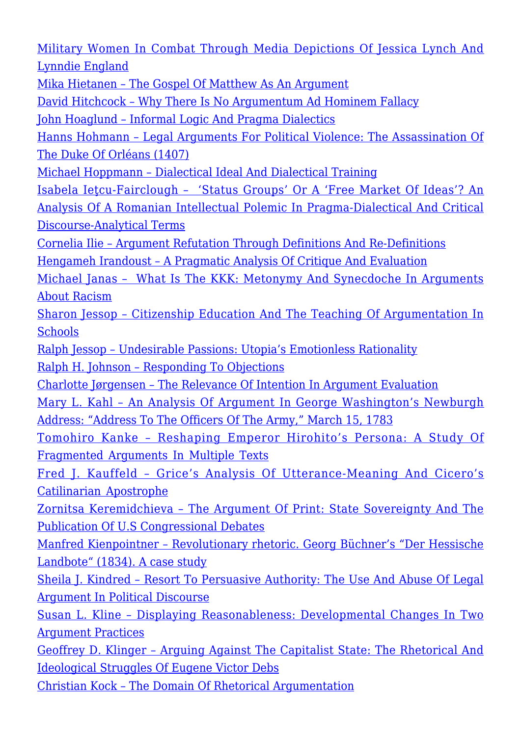[Military Women In Combat Through Media Depictions Of Jessica Lynch And](http://rozenbergquarterly.com/issa-proceedings-2006-women-in-combat-arguments-against-military-women-in-combat-through-media-depictions-of-jessica-lynch-and-lynndie-england/) [Lynndie England](http://rozenbergquarterly.com/issa-proceedings-2006-women-in-combat-arguments-against-military-women-in-combat-through-media-depictions-of-jessica-lynch-and-lynndie-england/)

[Mika Hietanen – The Gospel Of Matthew As An Argument](http://rozenbergquarterly.com/issa-proceedings-2006-the-gospel-of-matthew-as-an-argument/)

[David Hitchcock – Why There Is No Argumentum Ad Hominem Fallacy](http://rozenbergquarterly.com/issa-proceedings-2006-why-there-is-no-argumentum-ad-hominem-fallacy/)

[John Hoaglund – Informal Logic And Pragma Dialectics](http://rozenbergquarterly.com/issa-proceedings-2006-informal-logic-and-pragma-dialectics/)

[Hanns Hohmann – Legal Arguments For Political Violence: The Assassination Of](http://rozenbergquarterly.com/issa-proceedings-2006-legal-arguments-for-political-violence-the-assassination-of-the-duke-of-orleans-1407/) [The Duke Of Orléans \(1407\)](http://rozenbergquarterly.com/issa-proceedings-2006-legal-arguments-for-political-violence-the-assassination-of-the-duke-of-orleans-1407/)

[Michael Hoppmann – Dialectical Ideal And Dialectical Training](http://rozenbergquarterly.com/issa-proceedings-2006-dialectical-ideal-and-dialectical-training/)

[Isabela Ieţcu-Fairclough – 'Status Groups' Or A 'Free Market Of Ideas'? An](http://rozenbergquarterly.com/issa-proceedings-2006-status-groups-or-a-free-market-of-ideas-an-analysis-of-a-romanian-intellectual-polemic-in-pragma-dialectical-and-critical-discourse-analyti/) [Analysis Of A Romanian Intellectual Polemic In Pragma-Dialectical And Critical](http://rozenbergquarterly.com/issa-proceedings-2006-status-groups-or-a-free-market-of-ideas-an-analysis-of-a-romanian-intellectual-polemic-in-pragma-dialectical-and-critical-discourse-analyti/) [Discourse-Analytical Terms](http://rozenbergquarterly.com/issa-proceedings-2006-status-groups-or-a-free-market-of-ideas-an-analysis-of-a-romanian-intellectual-polemic-in-pragma-dialectical-and-critical-discourse-analyti/)

[Cornelia Ilie – Argument Refutation Through Definitions And Re-Definitions](http://rozenbergquarterly.com/issa-proceedings-2006-argument-refutation-through-definitions-and-re-definitions/) [Hengameh Irandoust – A Pragmatic Analysis Of Critique And Evaluation](http://rozenbergquarterly.com/issa-proceedings-2006-a-pragmatic-analysis-of-critique-and-evaluation/)

[Michael Janas – What Is The KKK: Metonymy And Synecdoche In Arguments](http://rozenbergquarterly.com/issa-proceedings-2006-what-is-the-kkk-metonymy-and-synecdoche-in-arguments-about-racism/) [About Racism](http://rozenbergquarterly.com/issa-proceedings-2006-what-is-the-kkk-metonymy-and-synecdoche-in-arguments-about-racism/)

[Sharon Jessop – Citizenship Education And The Teaching Of Argumentation In](http://rozenbergquarterly.com/issa-proceedings-2006-citizenship-education-and-the-teaching-of-argumentation-in-schools/) **[Schools](http://rozenbergquarterly.com/issa-proceedings-2006-citizenship-education-and-the-teaching-of-argumentation-in-schools/)** 

[Ralph Jessop – Undesirable Passions: Utopia's Emotionless Rationality](http://rozenbergquarterly.com/issa-proceedings-2006-undesirable-passions-utopias-emotionless-rationality/)

[Ralph H. Johnson – Responding To Objections](http://rozenbergquarterly.com/issa-proceedings-2006-responding-to-objections/)

[Charlotte Jørgensen – The Relevance Of Intention In Argument Evaluation](http://rozenbergquarterly.com/issa-proceedings-2006-the-relevance-of-intention-in-argument-evaluation/)

[Mary L. Kahl – An Analysis Of Argument In George Washington's Newburgh](http://rozenbergquarterly.com/issa-proceedings-2006-an-analysis-of-argument-in-george-washingtons-newburgh-address-address-to-the-officers-of-the-army-march-15-1783/) [Address: "Address To The Officers Of The Army," March 15, 1783](http://rozenbergquarterly.com/issa-proceedings-2006-an-analysis-of-argument-in-george-washingtons-newburgh-address-address-to-the-officers-of-the-army-march-15-1783/)

[Tomohiro Kanke – Reshaping Emperor Hirohito's Persona: A Study Of](http://rozenbergquarterly.com/issa-proceedings-2006-reshaping-emperor-hirohitos-persona-a-study-of-fragmented-arguments-in-multiple-texts/) [Fragmented Arguments In Multiple Texts](http://rozenbergquarterly.com/issa-proceedings-2006-reshaping-emperor-hirohitos-persona-a-study-of-fragmented-arguments-in-multiple-texts/)

[Fred J. Kauffeld – Grice's Analysis Of Utterance-Meaning And Cicero's](http://rozenbergquarterly.com/issa-proceedings-2006-grices-analysis-of-utterance-meaning-and-ciceros-catilinarian-apostrophe/) [Catilinarian Apostrophe](http://rozenbergquarterly.com/issa-proceedings-2006-grices-analysis-of-utterance-meaning-and-ciceros-catilinarian-apostrophe/)

[Zornitsa Keremidchieva – The Argument Of Print: State Sovereignty And The](http://rozenbergquarterly.com/issa-proceedings-2006-the-argument-of-print-state-sovereignty-and-the-publication-of-u-s-congressional-debates/) [Publication Of U.S Congressional Debates](http://rozenbergquarterly.com/issa-proceedings-2006-the-argument-of-print-state-sovereignty-and-the-publication-of-u-s-congressional-debates/)

[Manfred Kienpointner – Revolutionary rhetoric. Georg Büchner's "Der Hessische](http://rozenbergquarterly.com/issa-proceedings-2006-revolutionary-rhetoric-georg-buchners-der-hessische-landbote-1834-a-case-study/) [Landbote" \(1834\). A case study](http://rozenbergquarterly.com/issa-proceedings-2006-revolutionary-rhetoric-georg-buchners-der-hessische-landbote-1834-a-case-study/)

[Sheila J. Kindred – Resort To Persuasive Authority: The Use And Abuse Of Legal](http://rozenbergquarterly.com/issa-proceedings-2006-resort-to-persuasive-authority-the-use-and-abuse-of-legal-argument-in-political-discourse/) [Argument In Political Discourse](http://rozenbergquarterly.com/issa-proceedings-2006-resort-to-persuasive-authority-the-use-and-abuse-of-legal-argument-in-political-discourse/)

[Susan L. Kline – Displaying Reasonableness: Developmental Changes In Two](http://rozenbergquarterly.com/issa-proceedings-2006-displaying-reasonableness-developmental-changes-in-two-argument-practices/) [Argument Practices](http://rozenbergquarterly.com/issa-proceedings-2006-displaying-reasonableness-developmental-changes-in-two-argument-practices/)

[Geoffrey D. Klinger – Arguing Against The Capitalist State: The Rhetorical And](http://rozenbergquarterly.com/issa-proceedings-2006-arguing-against-the-capitalist-state-the-rhetorical-and-ideological-struggles-of-eugene-victor-debsi/) [Ideological Struggles Of Eugene Victor Debs](http://rozenbergquarterly.com/issa-proceedings-2006-arguing-against-the-capitalist-state-the-rhetorical-and-ideological-struggles-of-eugene-victor-debsi/)

[Christian Kock – The Domain Of Rhetorical Argumentation](http://rozenbergquarterly.com/issa-proceedings-2006-the-domain-of-rhetorical-argumentation/)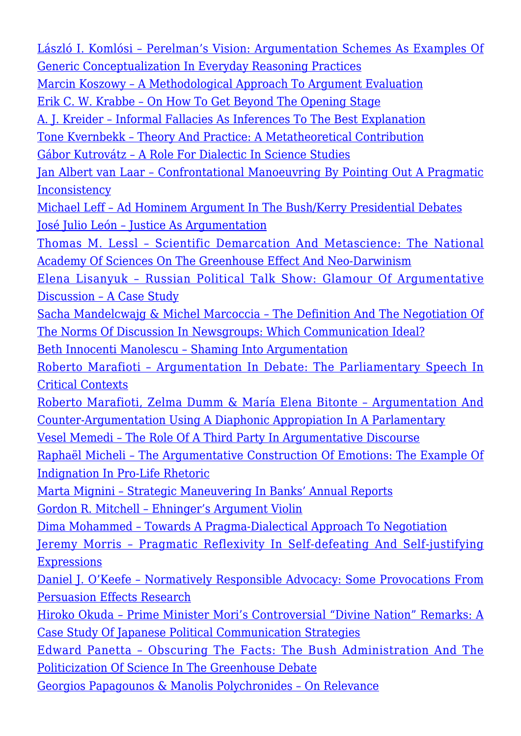[László I. Komlósi – Perelman's Vision: Argumentation Schemes As Examples Of](http://rozenbergquarterly.com/issa-proceedings-2006-perelmans-vision-argumentation-schemes-as-examples-of-generic-conceptualization-in-everyday-reasoning-practices/) [Generic Conceptualization In Everyday Reasoning Practices](http://rozenbergquarterly.com/issa-proceedings-2006-perelmans-vision-argumentation-schemes-as-examples-of-generic-conceptualization-in-everyday-reasoning-practices/) [Marcin Koszowy – A Methodological Approach To Argument Evaluation](http://rozenbergquarterly.com/issa-proceedings-2006-a-methodological-approach-to-argument-evaluation/) [Erik C. W. Krabbe – On How To Get Beyond The Opening Stage](http://rozenbergquarterly.com/issa-proceedings-2006-on-how-to-get-beyond-the-opening-stage/) [A. J. Kreider – Informal Fallacies As Inferences To The Best Explanation](http://rozenbergquarterly.com/issa-proceedings-2006-informal-fallacies-as-inferences-to-the-best-explanation/) [Tone Kvernbekk – Theory And Practice: A Metatheoretical Contribution](http://rozenbergquarterly.com/issa-proceedings-2006-theory-and-practice-a-metatheoretical-contribution/) [Gábor Kutrovátz – A Role For Dialectic In Science Studies](http://rozenbergquarterly.com/issa-proceedings-2006-a-role-for-dialectic-in-science-studies/) [Jan Albert van Laar – Confrontational Manoeuvring By Pointing Out A Pragmatic](http://rozenbergquarterly.com/issa-proceedings-2006-confrontational-manoeuvring-by-pointing-out-a-pragmatic-inconsistency/) **[Inconsistency](http://rozenbergquarterly.com/issa-proceedings-2006-confrontational-manoeuvring-by-pointing-out-a-pragmatic-inconsistency/)** [Michael Leff – Ad Hominem Argument In The Bush/Kerry Presidential Debates](http://rozenbergquarterly.com/issa-proceedings-2006-ad-hominem-argument-in-the-bushkerry-presidential-debates/) [José Julio León – Justice As Argumentation](http://rozenbergquarterly.com/issa-proceedings-2006-justice-as-argumentation/) [Thomas M. Lessl – Scientific Demarcation And Metascience: The National](http://rozenbergquarterly.com/issa-proceedings-2006-scientific-demarcation-and-metascience-the-national-academy-of-sciences-on-the-greenhouse-effect-and-neo-darwinism/) [Academy Of Sciences On The Greenhouse Effect And Neo-Darwinism](http://rozenbergquarterly.com/issa-proceedings-2006-scientific-demarcation-and-metascience-the-national-academy-of-sciences-on-the-greenhouse-effect-and-neo-darwinism/) [Elena Lisanyuk – Russian Political Talk Show: Glamour Of Argumentative](http://rozenbergquarterly.com/xissa-proceedings-2006-russian-political-talk-show-glamour-of-argumentative-discussion-a-case-study/) [Discussion – A Case Study](http://rozenbergquarterly.com/xissa-proceedings-2006-russian-political-talk-show-glamour-of-argumentative-discussion-a-case-study/) [Sacha Mandelcwajg & Michel Marcoccia – The Definition And The Negotiation Of](http://rozenbergquarterly.com/issa-proceedings-2006-the-definition-and-the-negotiation-of-the-norms-of-discussion-in-newsgroups-which-communication-ideal/) [The Norms Of Discussion In Newsgroups: Which Communication Ideal?](http://rozenbergquarterly.com/issa-proceedings-2006-the-definition-and-the-negotiation-of-the-norms-of-discussion-in-newsgroups-which-communication-ideal/) [Beth Innocenti Manolescu – Shaming Into Argumentation](http://rozenbergquarterly.com/issa-proceedings-2006-shaming-into-argumentation/) [Roberto Marafioti – Argumentation In Debate: The Parliamentary Speech In](http://rozenbergquarterly.com/issa-proceedings-2006-argumentation-in-debate-the-parliamentary-speech-in-critical-contexts/) [Critical Contexts](http://rozenbergquarterly.com/issa-proceedings-2006-argumentation-in-debate-the-parliamentary-speech-in-critical-contexts/) [Roberto Marafioti, Zelma Dumm & María Elena Bitonte – Argumentation And](http://rozenbergquarterly.com/issa-proceedings-2006-argumentation-and-counter-argumentation-using-a-diaphonic-appropiation-in-a-parlamentary/) [Counter-Argumentation Using A Diaphonic Appropiation In A Parlamentary](http://rozenbergquarterly.com/issa-proceedings-2006-argumentation-and-counter-argumentation-using-a-diaphonic-appropiation-in-a-parlamentary/) [Vesel Memedi – The Role Of A Third Party In Argumentative Discourse](http://rozenbergquarterly.com/issa-proceedings-2006-the-role-of-a-third-party-in-argumentative-discourse/) [Raphaël Micheli – The Argumentative Construction Of Emotions: The Example Of](http://rozenbergquarterly.com/issa-proceedings-2006-the-argumentative-construction-of-emotions-the-example-of-indignation-in-pro-life-rhetoric/) [Indignation In Pro-Life Rhetoric](http://rozenbergquarterly.com/issa-proceedings-2006-the-argumentative-construction-of-emotions-the-example-of-indignation-in-pro-life-rhetoric/) [Marta Mignini – Strategic Maneuvering In Banks' Annual Reports](http://rozenbergquarterly.com/issa-proceedings-2006-strategic-maneuvering-in-banks-annual-reports/) [Gordon R. Mitchell – Ehninger's Argument Violin](http://rozenbergquarterly.com/issa-proceedings-2006-ehningers-argument-violin/) [Dima Mohammed – Towards A Pragma-Dialectical Approach To Negotiation](http://rozenbergquarterly.com/issa-proceedings-2006-towards-a-pragma-dialectical-approach-to-negotiation/) [Jeremy Morris – Pragmatic Reflexivity In Self-defeating And Self-justifying](http://rozenbergquarterly.com/issa-proceedings-2006-pragmatic-reflexivity-in-self-defeating-and-self-justifying-expressions/) **[Expressions](http://rozenbergquarterly.com/issa-proceedings-2006-pragmatic-reflexivity-in-self-defeating-and-self-justifying-expressions/)** [Daniel J. O'Keefe – Normatively Responsible Advocacy: Some Provocations From](http://rozenbergquarterly.com/issa-proceedings-2006-normatively-responsible-advocacy-some-provocations-from-persuasion-effects-research/) [Persuasion Effects Research](http://rozenbergquarterly.com/issa-proceedings-2006-normatively-responsible-advocacy-some-provocations-from-persuasion-effects-research/) [Hiroko Okuda – Prime Minister Mori's Controversial "Divine Nation" Remarks: A](http://rozenbergquarterly.com/issa-proceedings-2006-prime-minister-moris-controversial-divine-nation-remarks-a-case-study-of-japanese-political-communication-strategies/) [Case Study Of Japanese Political Communication Strategies](http://rozenbergquarterly.com/issa-proceedings-2006-prime-minister-moris-controversial-divine-nation-remarks-a-case-study-of-japanese-political-communication-strategies/) [Edward Panetta – Obscuring The Facts: The Bush Administration And The](http://rozenbergquarterly.com/issa-proceedings-2006-obscuring-the-facts-the-bush-administration-and-the-politicization-of-science-in-the-greenhouse-debate/) [Politicization Of Science In The Greenhouse Debate](http://rozenbergquarterly.com/issa-proceedings-2006-obscuring-the-facts-the-bush-administration-and-the-politicization-of-science-in-the-greenhouse-debate/) [Georgios Papagounos & Manolis Polychronides – On Relevance](http://rozenbergquarterly.com/issa-proceedings-2006-on-relevance/)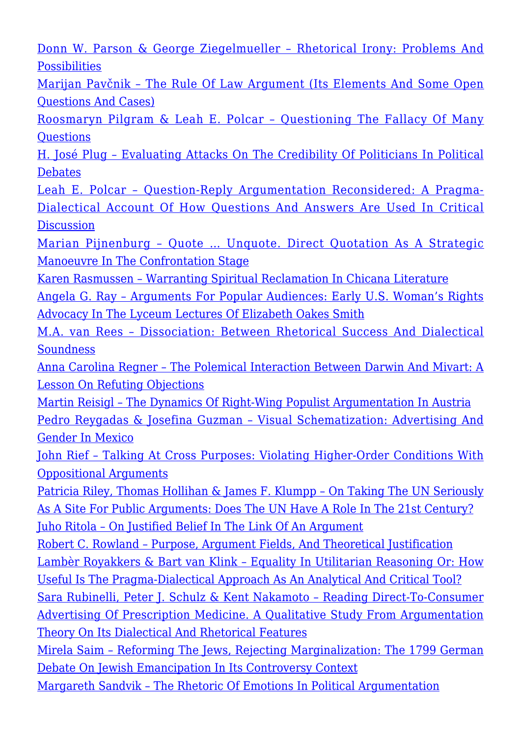[Donn W. Parson & George Ziegelmueller – Rhetorical Irony: Problems And](http://rozenbergquarterly.com/issa-proceedings-2006-rhetorical-irony-problems-and-possibilities/) [Possibilities](http://rozenbergquarterly.com/issa-proceedings-2006-rhetorical-irony-problems-and-possibilities/)

[Marijan Pavčnik – The Rule Of Law Argument \(Its Elements And Some Open](http://rozenbergquarterly.com/issa-proceedings-2006-the-rule-of-law-argument-its-elements-and-some-open-questions-and-cases/) [Questions And Cases\)](http://rozenbergquarterly.com/issa-proceedings-2006-the-rule-of-law-argument-its-elements-and-some-open-questions-and-cases/)

[Roosmaryn Pilgram & Leah E. Polcar – Questioning The Fallacy Of Many](http://rozenbergquarterly.com/issa-proceedings-2006-questioning-the-fallacy-of-many-questions/) **Ouestions** 

[H. José Plug – Evaluating Attacks On The Credibility Of Politicians In Political](http://rozenbergquarterly.com/issa-proceedings-2006-evaluating-attacks-on-the-credibility-of-politicians-in-political-debates/) [Debates](http://rozenbergquarterly.com/issa-proceedings-2006-evaluating-attacks-on-the-credibility-of-politicians-in-political-debates/)

[Leah E. Polcar – Question-Reply Argumentation Reconsidered: A Pragma-](http://rozenbergquarterly.com/issa-proceedings-2006-question-reply-argumentation-reconsidered-a-pragma-dialectical-account-of-how-questions-and-answers-are-used-in-critical-discussion/)[Dialectical Account Of How Questions And Answers Are Used In Critical](http://rozenbergquarterly.com/issa-proceedings-2006-question-reply-argumentation-reconsidered-a-pragma-dialectical-account-of-how-questions-and-answers-are-used-in-critical-discussion/) **[Discussion](http://rozenbergquarterly.com/issa-proceedings-2006-question-reply-argumentation-reconsidered-a-pragma-dialectical-account-of-how-questions-and-answers-are-used-in-critical-discussion/)** 

[Marian Pijnenburg – Quote … Unquote. Direct Quotation As A Strategic](http://rozenbergquarterly.com/issa-proceedings-2006-quote-unquote-direct-quotation-as-a-strategic-manoeuvre-in-the-confrontation-stage/) [Manoeuvre In The Confrontation Stage](http://rozenbergquarterly.com/issa-proceedings-2006-quote-unquote-direct-quotation-as-a-strategic-manoeuvre-in-the-confrontation-stage/)

[Karen Rasmussen – Warranting Spiritual Reclamation In Chicana Literature](http://rozenbergquarterly.com/issa-proceedings-2006-warranting-spiritual-reclamation-in-chicana-literature/)

[Angela G. Ray – Arguments For Popular Audiences: Early U.S. Woman's Rights](http://rozenbergquarterly.com/issa-proceedings-2006-arguments-for-popular-audiences-early-u-s-womans-rights-advocacy-in-the-lyceum-lectures-of-elizabeth-oakes-smith/) [Advocacy In The Lyceum Lectures Of Elizabeth Oakes Smith](http://rozenbergquarterly.com/issa-proceedings-2006-arguments-for-popular-audiences-early-u-s-womans-rights-advocacy-in-the-lyceum-lectures-of-elizabeth-oakes-smith/)

[M.A. van Rees – Dissociation: Between Rhetorical Success And Dialectical](http://rozenbergquarterly.com/issa-proceedings-2006-dissociation-between-rhetorical-success-and-dialectical-soundness/) [Soundness](http://rozenbergquarterly.com/issa-proceedings-2006-dissociation-between-rhetorical-success-and-dialectical-soundness/)

[Anna Carolina Regner – The Polemical Interaction Between Darwin And Mivart: A](http://rozenbergquarterly.com/issa-proceedings-2006-the-polemical-interaction-between-darwin-and-mivart-a-lesson-on-refuting-objections/) [Lesson On Refuting Objections](http://rozenbergquarterly.com/issa-proceedings-2006-the-polemical-interaction-between-darwin-and-mivart-a-lesson-on-refuting-objections/)

[Martin Reisigl – The Dynamics Of Right-Wing Populist Argumentation In Austria](http://rozenbergquarterly.com/issa-proceedings-2006-the-dynamics-of-right-wing-populist-argumentation-in-austria/) [Pedro Reygadas & Josefina Guzman – Visual Schematization: Advertising And](http://rozenbergquarterly.com/issa-proceedings-2006-visual-schematization-advertising-and-gender-in-mexico/) [Gender In Mexico](http://rozenbergquarterly.com/issa-proceedings-2006-visual-schematization-advertising-and-gender-in-mexico/)

[John Rief – Talking At Cross Purposes: Violating Higher-Order Conditions With](http://rozenbergquarterly.com/issa-proceedings-2006-talking-at-cross-purposes-violating-higher-order-conditions-with-oppositional-arguments/) [Oppositional Arguments](http://rozenbergquarterly.com/issa-proceedings-2006-talking-at-cross-purposes-violating-higher-order-conditions-with-oppositional-arguments/)

[Patricia Riley, Thomas Hollihan & James F. Klumpp – On Taking The UN Seriously](http://rozenbergquarterly.com/issa-proceedings-2006-on-taking-the-un-seriously-as-a-site-for-public-arguments-does-the-un-have-a-role-in-the-21st-century/) [As A Site For Public Arguments: Does The UN Have A Role In The 21st Century?](http://rozenbergquarterly.com/issa-proceedings-2006-on-taking-the-un-seriously-as-a-site-for-public-arguments-does-the-un-have-a-role-in-the-21st-century/) [Juho Ritola – On Justified Belief In The Link Of An Argument](http://rozenbergquarterly.com/issa-proceedings-2006-on-justified-belief-in-the-link-of-an-argument/)

[Robert C. Rowland – Purpose, Argument Fields, And Theoretical Justification](http://rozenbergquarterly.com/issa-proceedings-2006-purpose-argument-fields-and-theoretical-justification/) [Lambèr Royakkers & Bart van Klink – Equality In Utilitarian Reasoning Or: How](http://rozenbergquarterly.com/issa-proceedings-2006-equality-in-utilitarian-reasoning-or-how-useful-is-the-pragma-dialectical-approach-as-an-analytical-and-critical-tool/) [Useful Is The Pragma-Dialectical Approach As An Analytical And Critical Tool?](http://rozenbergquarterly.com/issa-proceedings-2006-equality-in-utilitarian-reasoning-or-how-useful-is-the-pragma-dialectical-approach-as-an-analytical-and-critical-tool/)

[Sara Rubinelli, Peter J. Schulz & Kent Nakamoto – Reading Direct-To-Consumer](http://rozenbergquarterly.com/issa-proceedings-2006-reading-direct-to-consumer-advertising-of-prescription-medicine-a-qualitative-study-from-argumentation-theory-on-its-dialectical-and-rhetorical-features/) [Advertising Of Prescription Medicine. A Qualitative Study From Argumentation](http://rozenbergquarterly.com/issa-proceedings-2006-reading-direct-to-consumer-advertising-of-prescription-medicine-a-qualitative-study-from-argumentation-theory-on-its-dialectical-and-rhetorical-features/) [Theory On Its Dialectical And Rhetorical Features](http://rozenbergquarterly.com/issa-proceedings-2006-reading-direct-to-consumer-advertising-of-prescription-medicine-a-qualitative-study-from-argumentation-theory-on-its-dialectical-and-rhetorical-features/)

[Mirela Saim – Reforming The Jews, Rejecting Marginalization: The 1799 German](http://rozenbergquarterly.com/issa-proceedings-2006-reforming-the-jews-rejecting-marginalization-the-1799-german-debate-on-jewish-emancipation-in-its-controversy-context/) [Debate On Jewish Emancipation In Its Controversy Context](http://rozenbergquarterly.com/issa-proceedings-2006-reforming-the-jews-rejecting-marginalization-the-1799-german-debate-on-jewish-emancipation-in-its-controversy-context/)

[Margareth Sandvik – The Rhetoric Of Emotions In Political Argumentation](http://rozenbergquarterly.com/issa-proceedings-2006-the-rhetoric-of-emotions-in-political-argumentation/)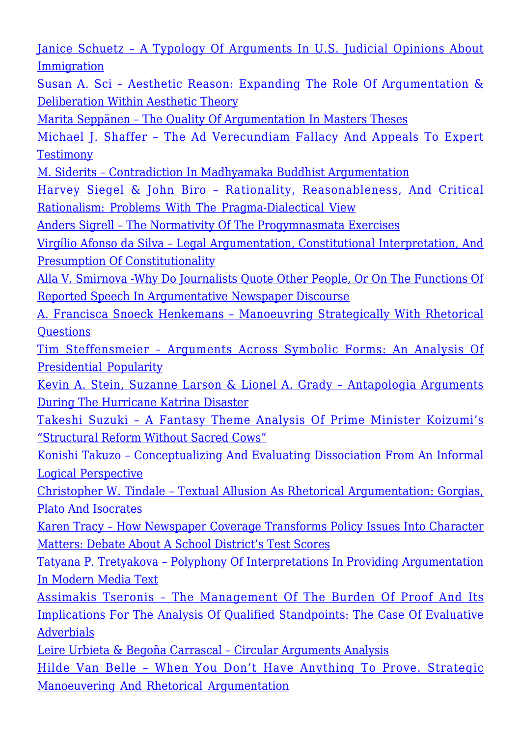[Janice Schuetz – A Typology Of Arguments In U.S. Judicial Opinions About](http://rozenbergquarterly.com/issa-proceedings-2006-a-typology-of-arguments-in-u-s-judicial-opinions-about-immigration/) [Immigration](http://rozenbergquarterly.com/issa-proceedings-2006-a-typology-of-arguments-in-u-s-judicial-opinions-about-immigration/)

[Susan A. Sci – Aesthetic Reason: Expanding The Role Of Argumentation &](http://rozenbergquarterly.com/issa-proceedings-2006-aesthetic-reason-expanding-the-role-of-argumentation-deliberation-within-aesthetic-theory/) [Deliberation Within Aesthetic Theory](http://rozenbergquarterly.com/issa-proceedings-2006-aesthetic-reason-expanding-the-role-of-argumentation-deliberation-within-aesthetic-theory/)

[Marita Seppänen – The Quality Of Argumentation In Masters Theses](http://rozenbergquarterly.com/issa-proceedings-2006-the-quality-of-argumentation-in-masters-theses/)

[Michael J. Shaffer – The Ad Verecundiam Fallacy And Appeals To Expert](http://rozenbergquarterly.com/issa-proceedings-2006-the-ad-verecundiam-fallacy-and-appeals-to-expert-testimony/) **[Testimony](http://rozenbergquarterly.com/issa-proceedings-2006-the-ad-verecundiam-fallacy-and-appeals-to-expert-testimony/)** 

[M. Siderits – Contradiction In Madhyamaka Buddhist Argumentation](http://rozenbergquarterly.com/issa-proceedings-2006-contradiction-in-madhyamaka-buddhist-argumentation/)

[Harvey Siegel & John Biro – Rationality, Reasonableness, And Critical](http://rozenbergquarterly.com/issa-proceedings-2006-rationality-reasonableness-and-critical-rationalism-problems-with-the-pragma-dialectical-view/) [Rationalism: Problems With The Pragma-Dialectical View](http://rozenbergquarterly.com/issa-proceedings-2006-rationality-reasonableness-and-critical-rationalism-problems-with-the-pragma-dialectical-view/)

[Anders Sigrell – The Normativity Of The Progymnasmata Exercises](http://rozenbergquarterly.com/issa-proceedings-2006-the-normativity-of-the-progymnasmata-exercises/)

[Virgílio Afonso da Silva – Legal Argumentation, Constitutional Interpretation, And](http://rozenbergquarterly.com/issa-proceedings-2006-legal-argumentation-constitutional-interpretation-and-presumption-of-constitutionality/) [Presumption Of Constitutionality](http://rozenbergquarterly.com/issa-proceedings-2006-legal-argumentation-constitutional-interpretation-and-presumption-of-constitutionality/)

[Alla V. Smirnova -Why Do Journalists Quote Other People, Or On The Functions Of](http://rozenbergquarterly.com/issa-proceedings-2006-why-do-journalists-quote-other-people-or-on-the-functions-of-reported-speech-in-argumentative-newspaper-discourse/) [Reported Speech In Argumentative Newspaper Discourse](http://rozenbergquarterly.com/issa-proceedings-2006-why-do-journalists-quote-other-people-or-on-the-functions-of-reported-speech-in-argumentative-newspaper-discourse/)

[A. Francisca Snoeck Henkemans – Manoeuvring Strategically With Rhetorical](http://rozenbergquarterly.com/issa-proceedings-2006-manoeuvring-strategically-with-rhetorical-questions/) **Ouestions** 

[Tim Steffensmeier – Arguments Across Symbolic Forms: An Analysis Of](http://rozenbergquarterly.com/issa-proceedings-2006-arguments-across-symbolic-forms-an-analysis-of-presidential-popularity/) [Presidential Popularity](http://rozenbergquarterly.com/issa-proceedings-2006-arguments-across-symbolic-forms-an-analysis-of-presidential-popularity/)

[Kevin A. Stein, Suzanne Larson & Lionel A. Grady – Antapologia Arguments](http://rozenbergquarterly.com/issa-proceedings-2006-antapologia-arguments-during-the-hurricane-katrina-disaster/) [During The Hurricane Katrina Disaster](http://rozenbergquarterly.com/issa-proceedings-2006-antapologia-arguments-during-the-hurricane-katrina-disaster/)

[Takeshi Suzuki – A Fantasy Theme Analysis Of Prime Minister Koizumi's](http://rozenbergquarterly.com/issa-proceedings-2006-a-fantasy-theme-analysis-of-prime-minister-koizumis-structural-reform-without-sacred-cows/) ["Structural Reform Without Sacred Cows"](http://rozenbergquarterly.com/issa-proceedings-2006-a-fantasy-theme-analysis-of-prime-minister-koizumis-structural-reform-without-sacred-cows/)

[Konishi Takuzo – Conceptualizing And Evaluating Dissociation From An Informal](http://rozenbergquarterly.com/issa-proceedings-2006-conceptualizing-and-evaluating-dissociation-from-an-informal-logical-perspective/) [Logical Perspective](http://rozenbergquarterly.com/issa-proceedings-2006-conceptualizing-and-evaluating-dissociation-from-an-informal-logical-perspective/)

[Christopher W. Tindale – Textual Allusion As Rhetorical Argumentation: Gorgias,](http://rozenbergquarterly.com/issa-proceedings-2006-textual-allusion-as-rhetorical-argumentation-gorgias-plato-and-isocrates/) [Plato And Isocrates](http://rozenbergquarterly.com/issa-proceedings-2006-textual-allusion-as-rhetorical-argumentation-gorgias-plato-and-isocrates/)

[Karen Tracy – How Newspaper Coverage Transforms Policy Issues Into Character](http://rozenbergquarterly.com/issa-proceedings-2006-how-newspaper-coverage-transforms-policy-issues-into-character-matters-debate-about-a-school-districts-test-scores/) [Matters: Debate About A School District's Test Scores](http://rozenbergquarterly.com/issa-proceedings-2006-how-newspaper-coverage-transforms-policy-issues-into-character-matters-debate-about-a-school-districts-test-scores/)

[Tatyana P. Tretyakova – Polyphony Of Interpretations In Providing Argumentation](http://rozenbergquarterly.com/issa-proceedings-2006-polyphony-of-interpretations-in-providing-argumentation-in-modern-media-text/) [In Modern Media Text](http://rozenbergquarterly.com/issa-proceedings-2006-polyphony-of-interpretations-in-providing-argumentation-in-modern-media-text/)

[Assimakis Tseronis – The Management Of The Burden Of Proof And Its](http://rozenbergquarterly.com/issa-proceedings-2006-the-management-of-the-burden-of-proof-and-its-implications-for-the-analysis-of-qualified-standpoints-the-case-of-evaluative-adverbials/) [Implications For The Analysis Of Qualified Standpoints: The Case Of Evaluative](http://rozenbergquarterly.com/issa-proceedings-2006-the-management-of-the-burden-of-proof-and-its-implications-for-the-analysis-of-qualified-standpoints-the-case-of-evaluative-adverbials/) [Adverbials](http://rozenbergquarterly.com/issa-proceedings-2006-the-management-of-the-burden-of-proof-and-its-implications-for-the-analysis-of-qualified-standpoints-the-case-of-evaluative-adverbials/)

[Leire Urbieta & Begoña Carrascal – Circular Arguments Analysis](http://rozenbergquarterly.com/issa-proceedings-2006-circular-arguments-analysis/)

[Hilde Van Belle – When You Don't Have Anything To Prove. Strategic](http://rozenbergquarterly.com/issa-proceedings-2006-when-you-dont-have-anything-to-prove-strategic-manoeuvering-and-rhetorical-argumentation/) [Manoeuvering And Rhetorical Argumentation](http://rozenbergquarterly.com/issa-proceedings-2006-when-you-dont-have-anything-to-prove-strategic-manoeuvering-and-rhetorical-argumentation/)